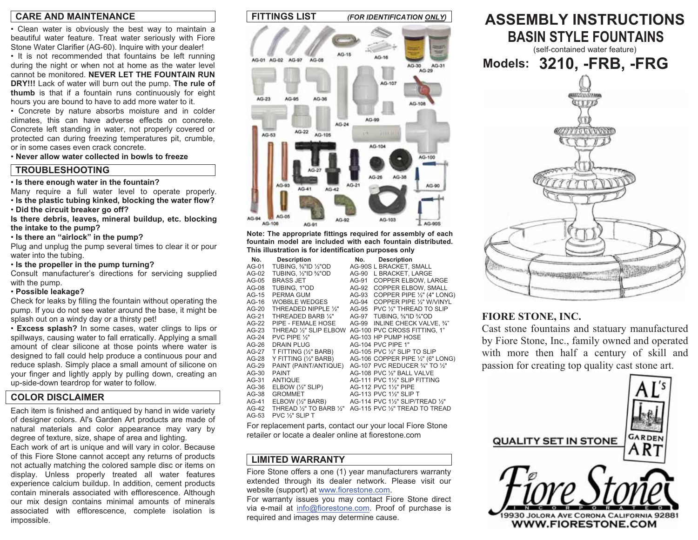# **CARE AND MAINTENANCE**

• Clean water is obviously the best way to maintain a beautiful water feature. Treat water seriously with Fiore Stone Water Clarifier (AG-60). Inquire with your dealer!

• It is not recommended that fountains be left running during the night or when not at home as the water level cannot be monitored. **NEVER LET THE FOUNTAIN RUN DRY!!!** Lack of water will burn out the pump. **The rule of thumb** is that if a fountain runs continuously for eight hours you are bound to have to add more water to it.

• Concrete by nature absorbs moisture and in colder climates, this can have adverse effects on concrete. Concrete left standing in water, not properly covered or protected can during freezing temperatures pit, crumble, or in some cases even crack concrete.

• **Never allow water collected in bowls to freeze**

# **TROUBLESHOOTING**

• **Is there enough water in the fountain?** 

Many require a full water level to operate properly. • **Is the plastic tubing kinked, blocking the water flow?** 

• **Did the circuit breaker go off?** 

**Is there debris, leaves, mineral buildup, etc. blocking the intake to the pump?** 

• **Is there an "airlock" in the pump?** 

Plug and unplug the pump several times to clear it or pour water into the tubing.

• **Is the propeller in the pump turning?** 

Consult manufacturer's directions for servicing supplied with the pump.

### • **Possible leakage?**

Check for leaks by filling the fountain without operating the pump. If you do not see water around the base, it might be splash out on a windy day or a thirsty pet!

• **Excess splash?** In some cases, water clings to lips or spillways, causing water to fall erratically. Applying a small amount of clear silicone at those points where water is designed to fall could help produce a continuous pour and reduce splash. Simply place a small amount of silicone on your finger and lightly apply by pulling down, creating an up-side-down teardrop for water to follow.

# **COLOR DISCLAIMER**

Each item is finished and antiqued by hand in wide variety of designer colors. Al's Garden Art products are made of natural materials and color appearance may vary by degree of texture, size, shape of area and lighting.

Each work of art is unique and will vary in color. Because of this Fiore Stone cannot accept any returns of products not actually matching the colored sample disc or items on display. Unless properly treated all water features experience calcium buildup. In addition, cement products contain minerals associated with efflorescence. Although our mix design contains minimal amounts of minerals associated with efflorescence, complete isolation is impossible.



**Note: The appropriate fittings required for assembly of each fountain model are included with each fountain distributed. This illustration is for identification purposes only** 

| No.     | <b>Description</b>               | No.   | <b>Description</b>                |
|---------|----------------------------------|-------|-----------------------------------|
| AG-01   | TUBING, 1/8"ID 1/2"OD            |       | AG-90S L BRACKET, SMALL           |
| AG-02   | TUBING, 1/2"ID %"OD              | AG-90 | L BRACKET. LARGE                  |
| AG-05   | <b>BRASS JET</b>                 | AG-91 | COPPER ELBOW. LARGE               |
| AG-08   | TUBING, 1"OD                     | AG-92 | <b>COPPER ELBOW, SMALL</b>        |
| AG-15   | PERMA GUM                        | AG-93 | COPPER PIPE 1/2" (4" LONG)        |
| AG-16   | <b>WOBBLE WEDGES</b>             | AG-94 | COPPER PIPE 1/2" W/VINYL          |
| $AG-20$ | THREADED NIPPLE 1/2"             | AG-95 | PVC 1/2" THREAD TO SLIP           |
| AG-21   | THREADED BARB 1/4"               | AG-97 | TUBING, %"ID %"OD                 |
| AG-22   | PIPE - FEMALE HOSE               | AG-99 | INLINE CHECK VALVE. 3/4"          |
| $AG-23$ | THREAD 1/3" SLIP ELBOW           |       | AG-100 PVC CROSS FITTING, 1"      |
| $AG-24$ | PVC PIPE 1/2"                    |       | AG-103 HP PUMP HOSE               |
| AG-26   | <b>DRAIN PLUG</b>                |       | AG-104 PVC PIPE 1"                |
| AG-27   | T FITTING (1/2" BARB)            |       | AG-105 PVC 1/2" SLIP TO SLIP      |
| AG-28   | Y FITTING (1/2" BARB)            |       | AG-106 COPPER PIPE 1/2" (6" LONG) |
| AG-29   | PAINT (PAINT/ANTIQUE)            |       | AG-107 PVC REDUCER 3/4" TO 1/2"   |
| $AG-30$ | <b>PAINT</b>                     |       | AG-108 PVC 1/2" BALL VALVE        |
| AG-31   | <b>ANTIQUE</b>                   |       | AG-111 PVC 1½" SLIP FITTING       |
| AG-36   | ELBOW $(\frac{1}{2}$ " SLIP)     |       | AG-112 PVC 11/2" PIPE             |
| $AG-38$ | <b>GROMMET</b>                   |       | AG-113 PVC 1½" SLIP T             |
| AG-41   | $E$ LBOW $(\frac{1}{2})^n$ BARB) |       | AG-114 PVC 11/2" SLIP/TREAD 1/2"  |
| $AG-42$ | THREAD 1/2" TO BARB 1/2"         |       | AG-115 PVC 1/2" TREAD TO TREAD    |
| $AG-53$ | PVC 1/ <sub>3</sub> " SLIP T     |       |                                   |

For replacement parts, contact our your local Fiore Stone retailer or locate a dealer online at fiorestone.com

# **LIMITED WARRANTY**

Fiore Stone offers a one (1) year manufacturers warranty extended through its dealer network. Please visit our website (support) at www.fiorestone.com.

For warranty issues you may contact Fiore Stone direct via e-mail at info@fiorestone.com. Proof of purchase is required and images may determine cause.



# **FIORE STONE, INC.**

Cast stone fountains and statuary manufacture dby Fiore Stone, Inc., family owned and operate d with more then half a century of skill an d passion for creating top quality cast stone art.